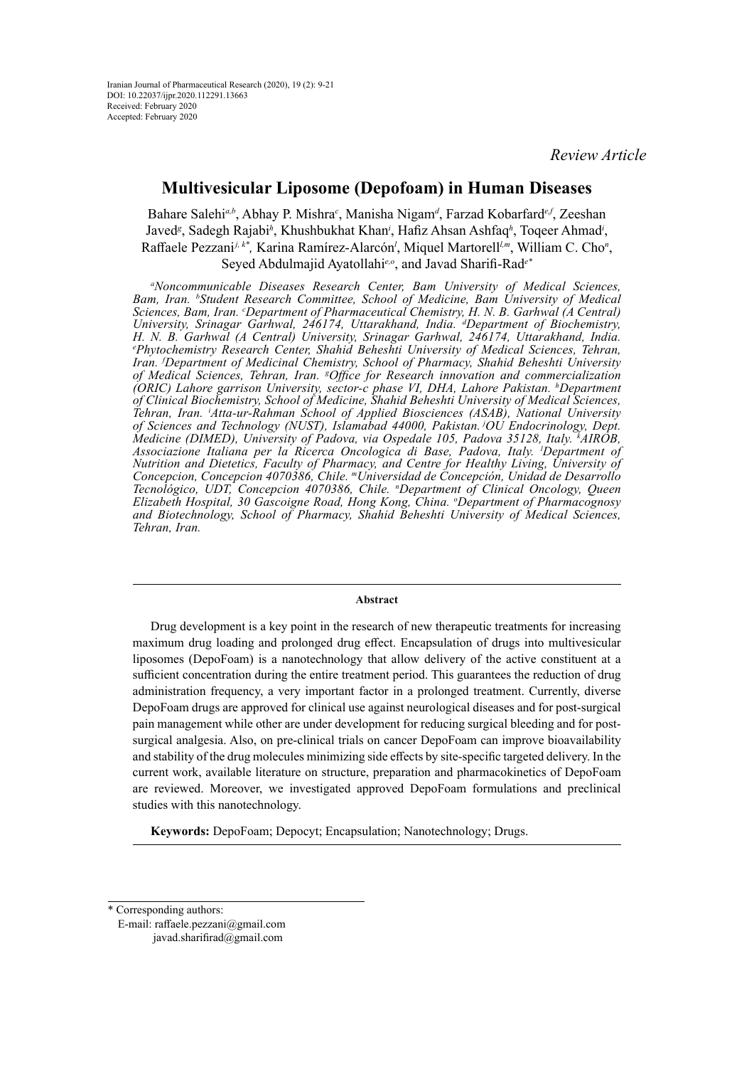# **Multivesicular Liposome (Depofoam) in Human Diseases**

Bahare Salehi<sup>a,b</sup>, Abhay P. Mishra<sup>c</sup>, Manisha Nigam<sup>a</sup>, Farzad Kobarfard<sup>e,f</sup>, Zeeshan Javed*<sup>g</sup>* , Sadegh Rajabi*<sup>h</sup>* , Khushbukhat Khan*<sup>i</sup>* , Hafiz Ahsan Ashfaq*<sup>h</sup>* , Toqeer Ahmad*<sup>i</sup>* , Raffaele Pezzani<sup>j, k\*</sup>, Karina Ramírez-Alarcón<sup>*l*</sup>, Miquel Martorell<sup>*lm*</sup>, William C. Cho<sup>n</sup>,

Seyed Abdulmajid Ayatollahi*e,o*, and Javad Sharifi-Rad*e\**

*a Noncommunicable Diseases Research Center, Bam University of Medical Sciences,*  Bam, Iran. <sup>b</sup>Student Research Committee, School of Medicine, Bam University of Medical *Sciences, Bam, Iran. c Department of Pharmaceutical Chemistry, H. N. B. Garhwal (A Central) University, Srinagar Garhwal, 246174, Uttarakhand, India. d Department of Biochemistry, H. N. B. Garhwal (A Central) University, Srinagar Garhwal, 246174, Uttarakhand, India. e Phytochemistry Research Center, Shahid Beheshti University of Medical Sciences, Tehran, Iran. f Department of Medicinal Chemistry, School of Pharmacy, Shahid Beheshti University of Medical Sciences, Tehran, Iran. g Office for Research innovation and commercialization (ORIC) Lahore garrison University, sector-c phase VI, DHA, Lahore Pakistan. h Department of Clinical Biochemistry, School of Medicine, Shahid Beheshti University of Medical Sciences, Tehran, Iran. i Atta-ur-Rahman School of Applied Biosciences (ASAB), National University of Sciences and Technology (NUST), Islamabad 44000, Pakistan. jOU Endocrinology, Dept. Medicine (DIMED), University of Padova, via Ospedale 105, Padova 35128, Italy. k AIROB,*  Associazione Italiana per la Ricerca Oncologica di Base, Padova, Italy. <sup>*I*</sup> Department of *Nutrition and Dietetics, Faculty of Pharmacy, and Centre for Healthy Living, University of Concepcion, Concepcion 4070386, Chile. mUniversidad de Concepción, Unidad de Desarrollo Tecnológico, UDT, Concepcion 4070386, Chile. n Department of Clinical Oncology, Queen Elizabeth Hospital, 30 Gascoigne Road, Hong Kong, China. <sup>o</sup> Department of Pharmacognosy and Biotechnology, School of Pharmacy, Shahid Beheshti University of Medical Sciences, Tehran, Iran.*

#### **Abstract**

Drug development is a key point in the research of new therapeutic treatments for increasing maximum drug loading and prolonged drug effect. Encapsulation of drugs into multivesicular liposomes (DepoFoam) is a nanotechnology that allow delivery of the active constituent at a sufficient concentration during the entire treatment period. This guarantees the reduction of drug administration frequency, a very important factor in a prolonged treatment. Currently, diverse DepoFoam drugs are approved for clinical use against neurological diseases and for post-surgical pain management while other are under development for reducing surgical bleeding and for postsurgical analgesia. Also, on pre-clinical trials on cancer DepoFoam can improve bioavailability and stability of the drug molecules minimizing side effects by site-specific targeted delivery. In the current work, available literature on structure, preparation and pharmacokinetics of DepoFoam are reviewed. Moreover, we investigated approved DepoFoam formulations and preclinical studies with this nanotechnology.

**Keywords:** DepoFoam; Depocyt; Encapsulation; Nanotechnology; Drugs.

\* Corresponding authors: E-mail: [raffaele.pezzani@gmail.com](mailto:raffaele.pezzani@gmail.com) [javad.sharifirad@gmail.com](mailto:javad.sharifirad@gmail.com)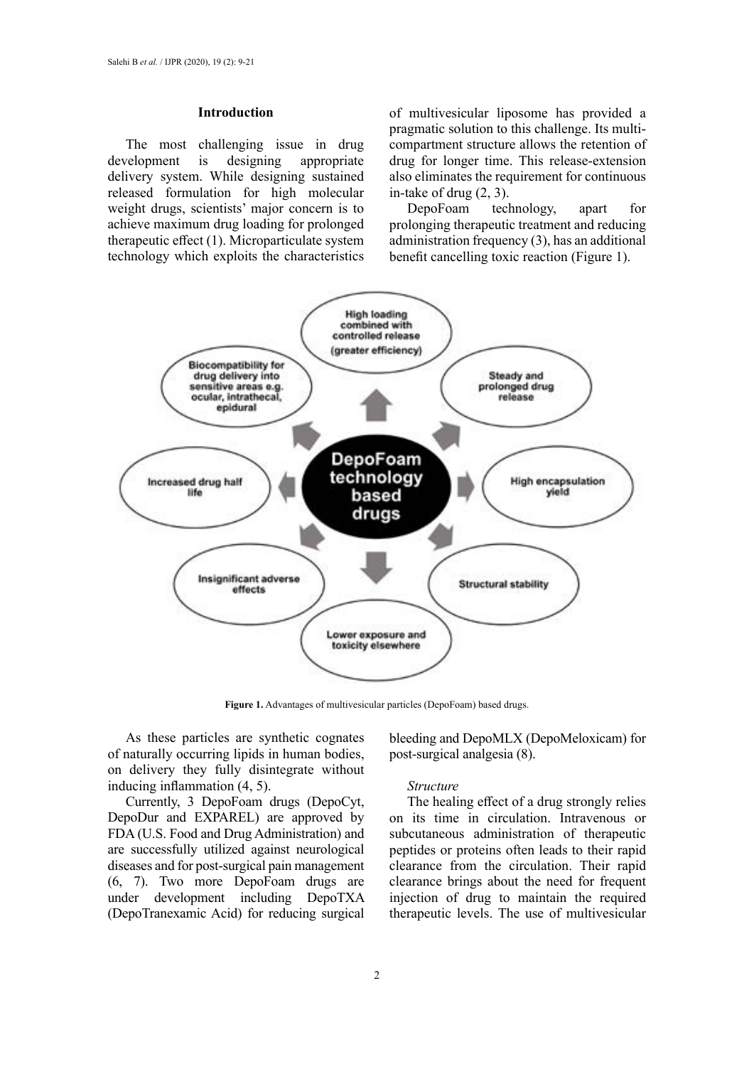#### **Introduction**

The most challenging issue in drug development is designing appropriate delivery system. While designing sustained released formulation for high molecular weight drugs, scientists' major concern is to achieve maximum drug loading for prolonged therapeutic effect (1). Microparticulate system technology which exploits the characteristics of multivesicular liposome has provided a pragmatic solution to this challenge. Its multicompartment structure allows the retention of drug for longer time. This release-extension also eliminates the requirement for continuous in-take of drug (2, 3).

DepoFoam technology, apart for prolonging therapeutic treatment and reducing administration frequency (3), has an additional benefit cancelling toxic reaction (Figure 1).



**Figure 1.** Advantages of multivesicular particles (DepoFoam) based drugs.

As these particles are synthetic cognates of naturally occurring lipids in human bodies, on delivery they fully disintegrate without inducing inflammation (4, 5).

Currently, 3 DepoFoam drugs (DepoCyt, DepoDur and EXPAREL) are approved by FDA (U.S. Food and Drug Administration) and are successfully utilized against neurological diseases and for post-surgical pain management (6, 7). Two more DepoFoam drugs are under development including DepoTXA (DepoTranexamic Acid) for reducing surgical

bleeding and DepoMLX (DepoMeloxicam) for post-surgical analgesia (8).

#### *Structure*

The healing effect of a drug strongly relies on its time in circulation. Intravenous or subcutaneous administration of therapeutic peptides or proteins often leads to their rapid clearance from the circulation. Their rapid clearance brings about the need for frequent injection of drug to maintain the required therapeutic levels. The use of multivesicular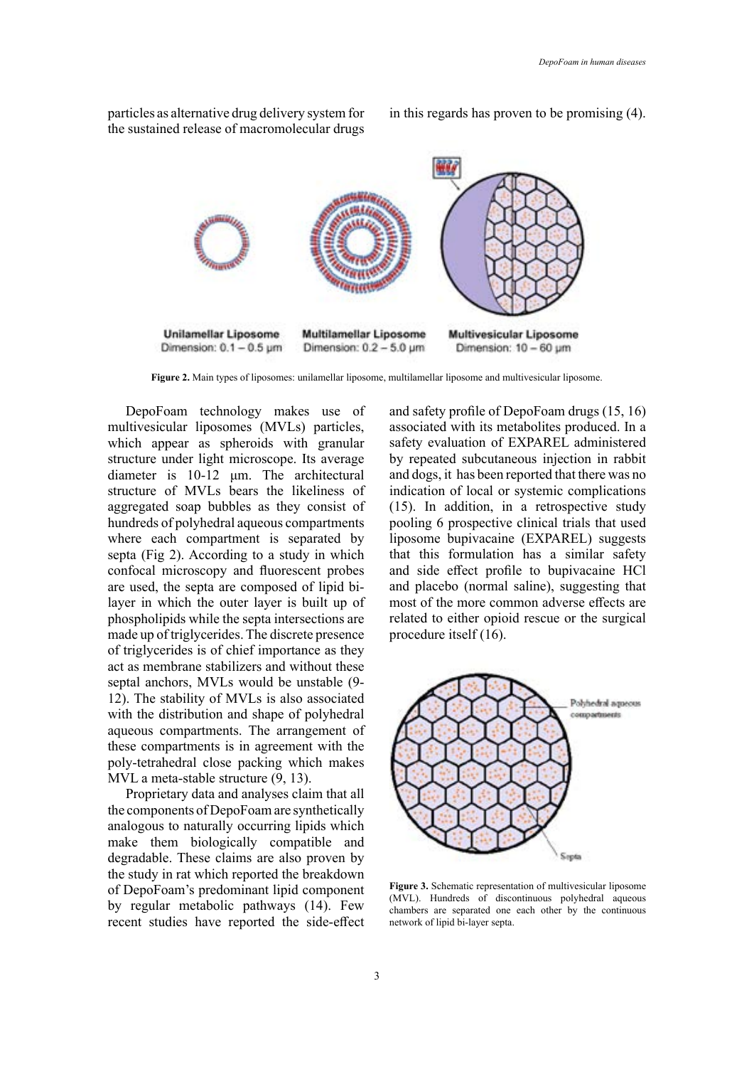

particles as alternative drug delivery system for the sustained release of macromolecular drugs

**Figure 2.** Main types of liposomes: unilamellar liposome, multilamellar liposome and multivesicular liposome.

DepoFoam technology makes use of multivesicular liposomes (MVLs) particles, which appear as spheroids with granular structure under light microscope. Its average diameter is 10-12 μm. The architectural structure of MVLs bears the likeliness of aggregated soap bubbles as they consist of hundreds of polyhedral aqueous compartments where each compartment is separated by septa (Fig 2). According to a study in which confocal microscopy and fluorescent probes are used, the septa are composed of lipid bilayer in which the outer layer is built up of phospholipids while the septa intersections are made up of triglycerides. The discrete presence of triglycerides is of chief importance as they act as membrane stabilizers and without these septal anchors, MVLs would be unstable (9- 12). The stability of MVLs is also associated with the distribution and shape of polyhedral aqueous compartments. The arrangement of these compartments is in agreement with the poly-tetrahedral close packing which makes MVL a meta-stable structure (9, 13).

Proprietary data and analyses claim that all the components of DepoFoam are synthetically analogous to naturally occurring lipids which make them biologically compatible and degradable. These claims are also proven by the study in rat which reported the breakdown of DepoFoam's predominant lipid component by regular metabolic pathways (14). Few recent studies have reported the side-effect and safety profile of DepoFoam drugs (15, 16) associated with its metabolites produced. In a safety evaluation of EXPAREL administered by repeated subcutaneous injection in rabbit and dogs, it has been reported that there was no indication of local or systemic complications (15). In addition, in a retrospective study pooling 6 prospective clinical trials that used liposome bupivacaine (EXPAREL) suggests that this formulation has a similar safety and side effect profile to bupivacaine HCl and placebo (normal saline), suggesting that most of the more common adverse effects are related to either opioid rescue or the surgical procedure itself (16).



**Figure 3.** Schematic representation of multivesicular liposome (MVL). Hundreds of discontinuous polyhedral aqueous chambers are separated one each other by the continuous network of lipid bi-layer septa.

in this regards has proven to be promising (4).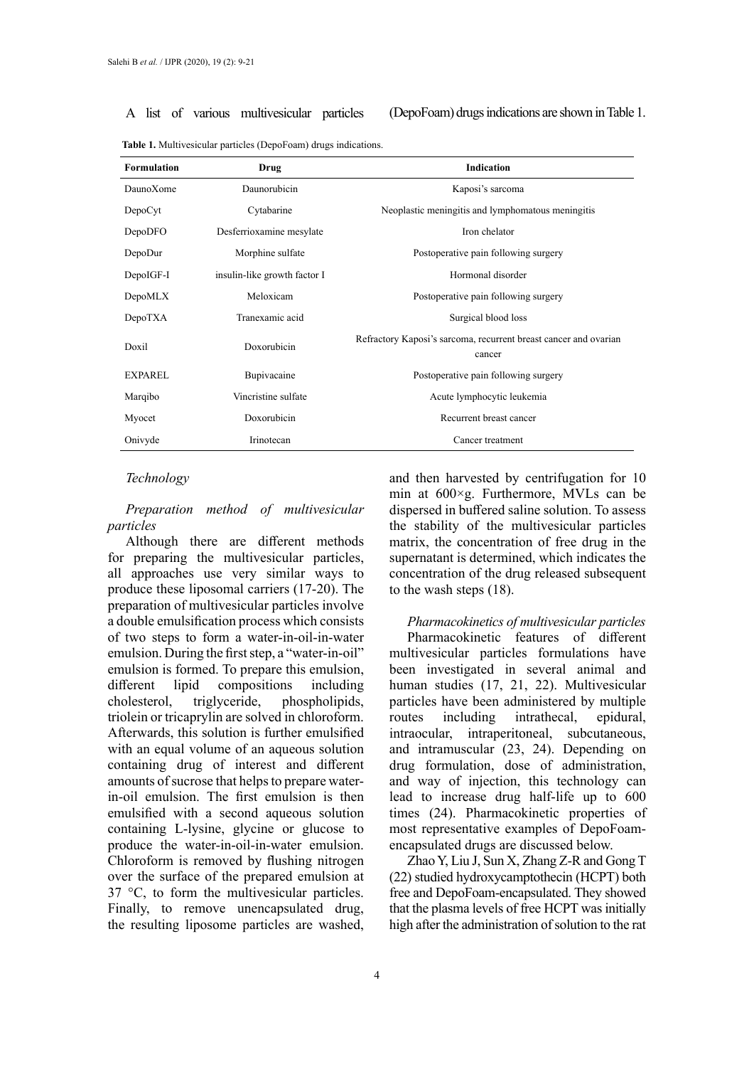A list of various multivesicular particles (DepoFoam) drugs indications are shown in Table 1.

| Drug                         | <b>Indication</b>                                                          |  |  |
|------------------------------|----------------------------------------------------------------------------|--|--|
| Daunorubicin                 | Kaposi's sarcoma                                                           |  |  |
| Cytabarine                   | Neoplastic meningitis and lymphomatous meningitis                          |  |  |
| Desferrioxamine mesylate     | Iron chelator                                                              |  |  |
| Morphine sulfate             | Postoperative pain following surgery                                       |  |  |
| insulin-like growth factor I | Hormonal disorder                                                          |  |  |
| Meloxicam                    | Postoperative pain following surgery                                       |  |  |
| Tranexamic acid              | Surgical blood loss                                                        |  |  |
| Doxorubicin                  | Refractory Kaposi's sarcoma, recurrent breast cancer and ovarian<br>cancer |  |  |
| Bupivacaine                  | Postoperative pain following surgery                                       |  |  |
| Vincristine sulfate          | Acute lymphocytic leukemia                                                 |  |  |
| Doxorubicin                  | Recurrent breast cancer                                                    |  |  |
| Irinotecan                   | Cancer treatment                                                           |  |  |
|                              |                                                                            |  |  |

**Table 1.** Multivesicular particles (DepoFoam) drugs indications.

### *Technology*

# *Preparation method of multivesicular particles*

Although there are different methods for preparing the multivesicular particles, all approaches use very similar ways to produce these liposomal carriers (17-20). The preparation of multivesicular particles involve a double emulsification process which consists of two steps to form a water-in-oil-in-water emulsion. During the first step, a "water-in-oil" emulsion is formed. To prepare this emulsion, different lipid compositions including cholesterol, triglyceride, phospholipids, triolein or tricaprylin are solved in chloroform. Afterwards, this solution is further emulsified with an equal volume of an aqueous solution containing drug of interest and different amounts of sucrose that helps to prepare waterin-oil emulsion. The first emulsion is then emulsified with a second aqueous solution containing L-lysine, glycine or glucose to produce the water-in-oil-in-water emulsion. Chloroform is removed by flushing nitrogen over the surface of the prepared emulsion at 37 °C, to form the multivesicular particles. Finally, to remove unencapsulated drug, the resulting liposome particles are washed,

and then harvested by centrifugation for 10 min at 600×g. Furthermore, MVLs can be dispersed in buffered saline solution. To assess the stability of the multivesicular particles matrix, the concentration of free drug in the supernatant is determined, which indicates the concentration of the drug released subsequent to the wash steps (18).

*Pharmacokinetics of multivesicular particles* Pharmacokinetic features of different multivesicular particles formulations have been investigated in several animal and human studies (17, 21, 22). Multivesicular particles have been administered by multiple routes including intrathecal, epidural, intraocular, intraperitoneal, subcutaneous, and intramuscular (23, 24). Depending on drug formulation, dose of administration, and way of injection, this technology can lead to increase drug half-life up to 600 times (24). Pharmacokinetic properties of most representative examples of DepoFoamencapsulated drugs are discussed below.

Zhao Y, Liu J, Sun X, Zhang Z-R and Gong T (22) studied hydroxycamptothecin (HCPT) both free and DepoFoam-encapsulated. They showed that the plasma levels of free HCPT was initially high after the administration of solution to the rat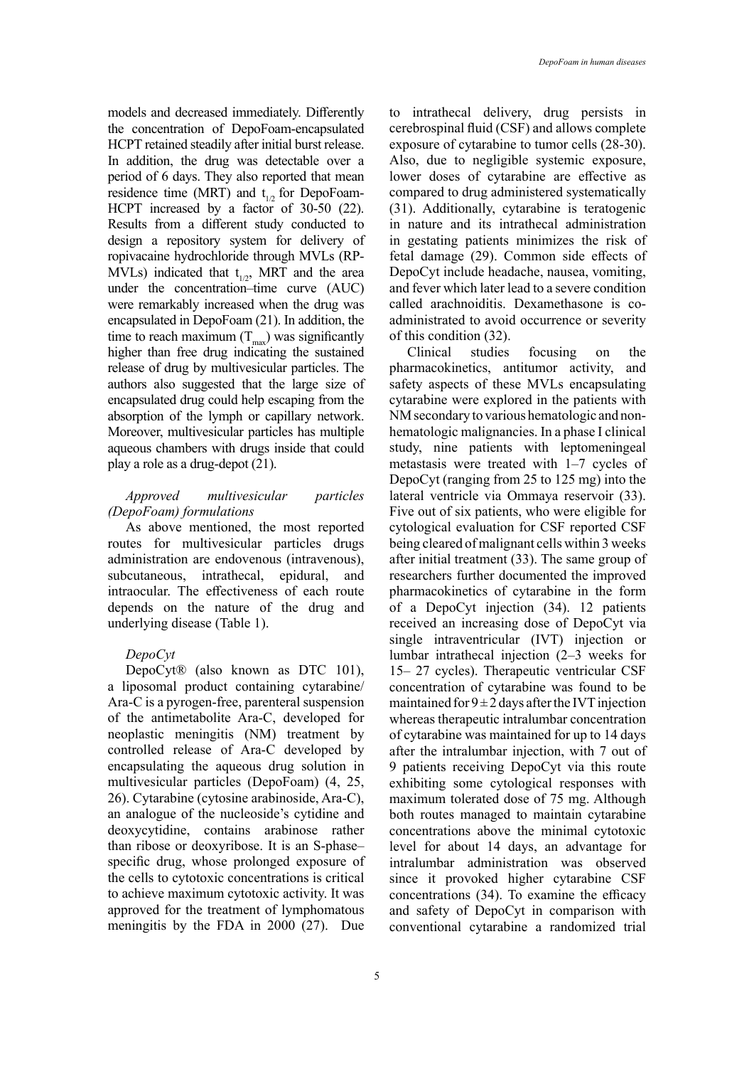models and decreased immediately. Differently the concentration of DepoFoam-encapsulated HCPT retained steadily after initial burst release. In addition, the drug was detectable over a period of 6 days. They also reported that mean residence time (MRT) and  $t_{1/2}$  for DepoFoam-HCPT increased by a factor of 30-50 (22). Results from a different study conducted to design a repository system for delivery of ropivacaine hydrochloride through MVLs (RP-MVLs) indicated that  $t_{1/2}$ , MRT and the area under the concentration–time curve (AUC) were remarkably increased when the drug was encapsulated in DepoFoam (21). In addition, the time to reach maximum  $(T_{\text{max}})$  was significantly higher than free drug indicating the sustained release of drug by multivesicular particles. The authors also suggested that the large size of encapsulated drug could help escaping from the absorption of the lymph or capillary network. Moreover, multivesicular particles has multiple aqueous chambers with drugs inside that could play a role as a drug-depot (21).

# *Approved multivesicular particles (DepoFoam) formulations*

As above mentioned, the most reported routes for multivesicular particles drugs administration are endovenous (intravenous), subcutaneous, intrathecal, epidural, and intraocular. The effectiveness of each route depends on the nature of the drug and underlying disease (Table 1).

#### *DepoCyt*

DepoCyt® (also known as DTC 101), a liposomal product containing cytarabine/ Ara-C is a pyrogen-free, parenteral suspension of the antimetabolite Ara-C, developed for neoplastic meningitis (NM) treatment by controlled release of Ara-C developed by encapsulating the aqueous drug solution in multivesicular particles (DepoFoam) (4, 25, 26). Cytarabine (cytosine arabinoside, Ara-C), an analogue of the nucleoside's cytidine and deoxycytidine, contains arabinose rather than ribose or deoxyribose. It is an S-phase– specific drug, whose prolonged exposure of the cells to cytotoxic concentrations is critical to achieve maximum cytotoxic activity. It was approved for the treatment of lymphomatous meningitis by the FDA in 2000 (27). Due

to intrathecal delivery, drug persists in cerebrospinal fluid (CSF) and allows complete exposure of cytarabine to tumor cells (28-30). Also, due to negligible systemic exposure, lower doses of cytarabine are effective as compared to drug administered systematically (31). Additionally, cytarabine is teratogenic in nature and its intrathecal administration in gestating patients minimizes the risk of fetal damage (29). Common side effects of DepoCyt include headache, nausea, vomiting, and fever which later lead to a severe condition called arachnoiditis. Dexamethasone is coadministrated to avoid occurrence or severity of this condition (32).

Clinical studies focusing on the pharmacokinetics, antitumor activity, and safety aspects of these MVLs encapsulating cytarabine were explored in the patients with NM secondary to various hematologic and nonhematologic malignancies. In a phase I clinical study, nine patients with leptomeningeal metastasis were treated with 1–7 cycles of DepoCyt (ranging from 25 to 125 mg) into the lateral ventricle via Ommaya reservoir (33). Five out of six patients, who were eligible for cytological evaluation for CSF reported CSF being cleared of malignant cells within 3 weeks after initial treatment (33). The same group of researchers further documented the improved pharmacokinetics of cytarabine in the form of a DepoCyt injection (34). 12 patients received an increasing dose of DepoCyt via single intraventricular (IVT) injection or lumbar intrathecal injection (2–3 weeks for 15– 27 cycles). Therapeutic ventricular CSF concentration of cytarabine was found to be maintained for  $9 \pm 2$  days after the IVT injection whereas therapeutic intralumbar concentration of cytarabine was maintained for up to 14 days after the intralumbar injection, with 7 out of 9 patients receiving DepoCyt via this route exhibiting some cytological responses with maximum tolerated dose of 75 mg. Although both routes managed to maintain cytarabine concentrations above the minimal cytotoxic level for about 14 days, an advantage for intralumbar administration was observed since it provoked higher cytarabine CSF concentrations (34). To examine the efficacy and safety of DepoCyt in comparison with conventional cytarabine a randomized trial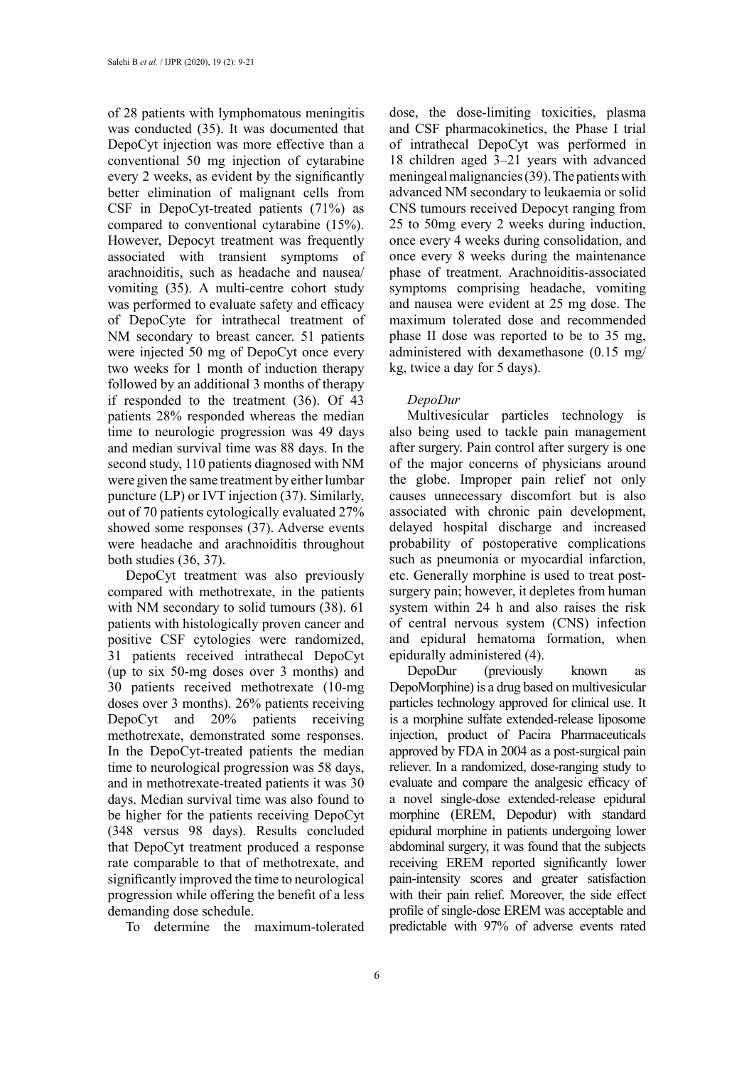of 28 patients with lymphomatous meningitis was conducted (35). It was documented that DepoCyt injection was more effective than a conventional 50 mg injection of cytarabine every 2 weeks, as evident by the significantly better elimination of malignant cells from CSF in DepoCyt-treated patients (71%) as compared to conventional cytarabine (15%). However, Depocyt treatment was frequently associated with transient symptoms of arachnoiditis, such as headache and nausea/ vomiting (35). A multi-centre cohort study was performed to evaluate safety and efficacy of DepoCyte for intrathecal treatment of NM secondary to breast cancer. 51 patients were injected 50 mg of DepoCyt once every two weeks for 1 month of induction therapy followed by an additional 3 months of therapy if responded to the treatment (36). Of 43 patients 28% responded whereas the median time to neurologic progression was 49 days and median survival time was 88 days. In the second study, 110 patients diagnosed with NM were given the same treatment by either lumbar puncture (LP) or IVT injection (37). Similarly, out of 70 patients cytologically evaluated 27% showed some responses (37). Adverse events were headache and arachnoiditis throughout both studies (36, 37).

DepoCyt treatment was also previously compared with methotrexate, in the patients with NM secondary to solid tumours (38). 61 patients with histologically proven cancer and positive CSF cytologies were randomized, 31 patients received intrathecal DepoCyt (up to six 50-mg doses over 3 months) and 30 patients received methotrexate (10-mg doses over 3 months). 26% patients receiving DepoCyt and 20% patients receiving methotrexate, demonstrated some responses. In the DepoCyt-treated patients the median time to neurological progression was 58 days, and in methotrexate-treated patients it was 30 days. Median survival time was also found to be higher for the patients receiving DepoCyt (348 versus 98 days). Results concluded that DepoCyt treatment produced a response rate comparable to that of methotrexate, and significantly improved the time to neurological progression while offering the benefit of a less demanding dose schedule.

To determine the maximum-tolerated

dose, the dose-limiting toxicities, plasma and CSF pharmacokinetics, the Phase I trial of intrathecal DepoCyt was performed in 18 children aged 3–21 years with advanced meningeal malignancies (39). The patients with advanced NM secondary to leukaemia or solid CNS tumours received Depocyt ranging from 25 to 50mg every 2 weeks during induction, once every 4 weeks during consolidation, and once every 8 weeks during the maintenance phase of treatment. Arachnoiditis-associated symptoms comprising headache, vomiting and nausea were evident at 25 mg dose. The maximum tolerated dose and recommended phase II dose was reported to be to 35 mg, administered with dexamethasone (0.15 mg/ kg, twice a day for 5 days).

#### *DepoDur*

Multivesicular particles technology is also being used to tackle pain management after surgery. Pain control after surgery is one of the major concerns of physicians around the globe. Improper pain relief not only causes unnecessary discomfort but is also associated with chronic pain development, delayed hospital discharge and increased probability of postoperative complications such as pneumonia or myocardial infarction, etc. Generally morphine is used to treat postsurgery pain; however, it depletes from human system within 24 h and also raises the risk of central nervous system (CNS) infection and epidural hematoma formation, when epidurally administered (4).

DepoDur (previously known as DepoMorphine) is a drug based on multivesicular particles technology approved for clinical use. It is a morphine sulfate extended-release liposome injection, product of Pacira Pharmaceuticals approved by FDA in 2004 as a post-surgical pain reliever. In a randomized, dose-ranging study to evaluate and compare the analgesic efficacy of a novel single-dose extended-release epidural morphine (EREM, Depodur) with standard epidural morphine in patients undergoing lower abdominal surgery, it was found that the subjects receiving EREM reported significantly lower pain-intensity scores and greater satisfaction with their pain relief. Moreover, the side effect profile of single-dose EREM was acceptable and predictable with 97% of adverse events rated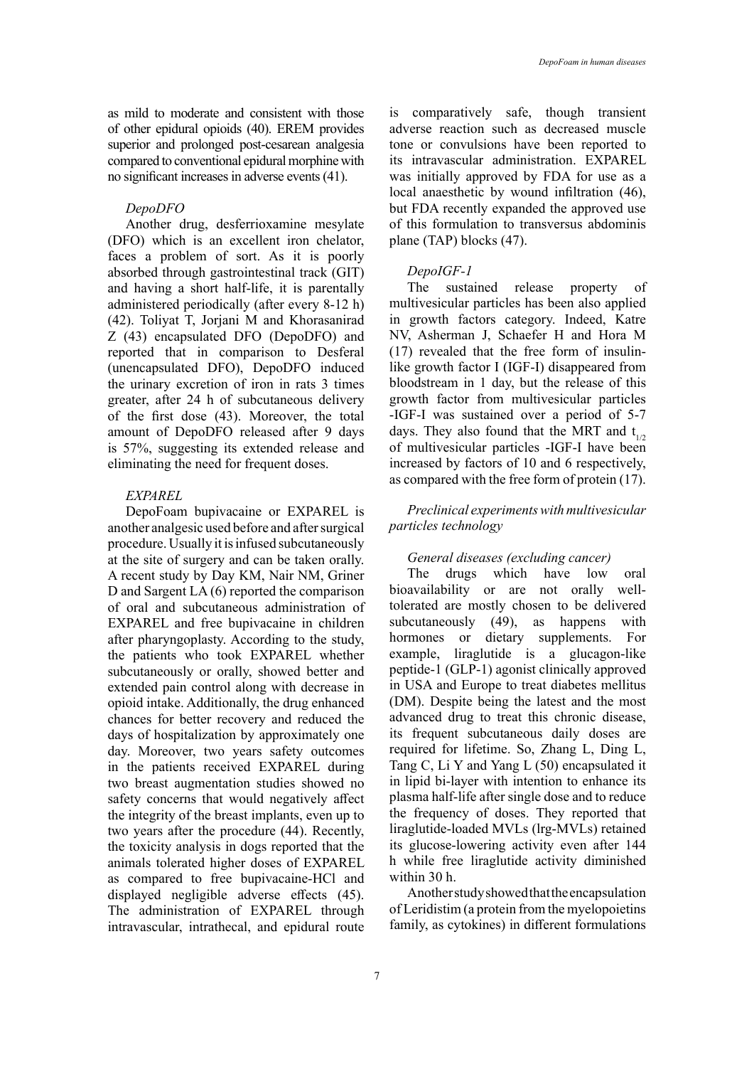as mild to moderate and consistent with those of other epidural opioids (40). EREM provides superior and prolonged post-cesarean analgesia compared to conventional epidural morphine with no significant increases in adverse events (41).

#### *DepoDFO*

Another drug, desferrioxamine mesylate (DFO) which is an excellent iron chelator, faces a problem of sort. As it is poorly absorbed through gastrointestinal track (GIT) and having a short half-life, it is parentally administered periodically (after every 8-12 h) (42). Toliyat T, Jorjani M and Khorasanirad Z (43) encapsulated DFO (DepoDFO) and reported that in comparison to Desferal (unencapsulated DFO), DepoDFO induced the urinary excretion of iron in rats 3 times greater, after 24 h of subcutaneous delivery of the first dose (43). Moreover, the total amount of DepoDFO released after 9 days is 57%, suggesting its extended release and eliminating the need for frequent doses.

#### *EXPAREL*

DepoFoam bupivacaine or EXPAREL is another analgesic used before and after surgical procedure. Usually it is infused subcutaneously at the site of surgery and can be taken orally. A recent study by Day KM, Nair NM, Griner D and Sargent LA (6) reported the comparison of oral and subcutaneous administration of EXPAREL and free bupivacaine in children after pharyngoplasty. According to the study, the patients who took EXPAREL whether subcutaneously or orally, showed better and extended pain control along with decrease in opioid intake. Additionally, the drug enhanced chances for better recovery and reduced the days of hospitalization by approximately one day. Moreover, two years safety outcomes in the patients received EXPAREL during two breast augmentation studies showed no safety concerns that would negatively affect the integrity of the breast implants, even up to two years after the procedure (44). Recently, the toxicity analysis in dogs reported that the animals tolerated higher doses of EXPAREL as compared to free bupivacaine-HCl and displayed negligible adverse effects (45). The administration of EXPAREL through intravascular, intrathecal, and epidural route

is comparatively safe, though transient adverse reaction such as decreased muscle tone or convulsions have been reported to its intravascular administration. EXPAREL was initially approved by FDA for use as a local anaesthetic by wound infiltration (46), but FDA recently expanded the approved use of this formulation to transversus abdominis plane (TAP) blocks (47).

# *DepoIGF-1*

The sustained release property of multivesicular particles has been also applied in growth factors category. Indeed, Katre NV, Asherman J, Schaefer H and Hora M (17) revealed that the free form of insulinlike growth factor I (IGF-I) disappeared from bloodstream in 1 day, but the release of this growth factor from multivesicular particles -IGF-I was sustained over a period of 5-7 days. They also found that the MRT and  $t_{1/2}$ of multivesicular particles -IGF-I have been increased by factors of 10 and 6 respectively, as compared with the free form of protein (17).

## *Preclinical experiments with multivesicular particles technology*

#### *General diseases (excluding cancer)*

The drugs which have low oral bioavailability or are not orally welltolerated are mostly chosen to be delivered subcutaneously (49), as happens with hormones or dietary supplements. For example, liraglutide is a glucagon-like peptide-1 (GLP-1) agonist clinically approved in USA and Europe to treat diabetes mellitus (DM). Despite being the latest and the most advanced drug to treat this chronic disease, its frequent subcutaneous daily doses are required for lifetime. So, Zhang L, Ding L, Tang C, Li Y and Yang L (50) encapsulated it in lipid bi-layer with intention to enhance its plasma half-life after single dose and to reduce the frequency of doses. They reported that liraglutide-loaded MVLs (lrg-MVLs) retained its glucose-lowering activity even after 144 h while free liraglutide activity diminished within 30 h.

Another study showed that the encapsulation of Leridistim (a protein from the myelopoietins family, as cytokines) in different formulations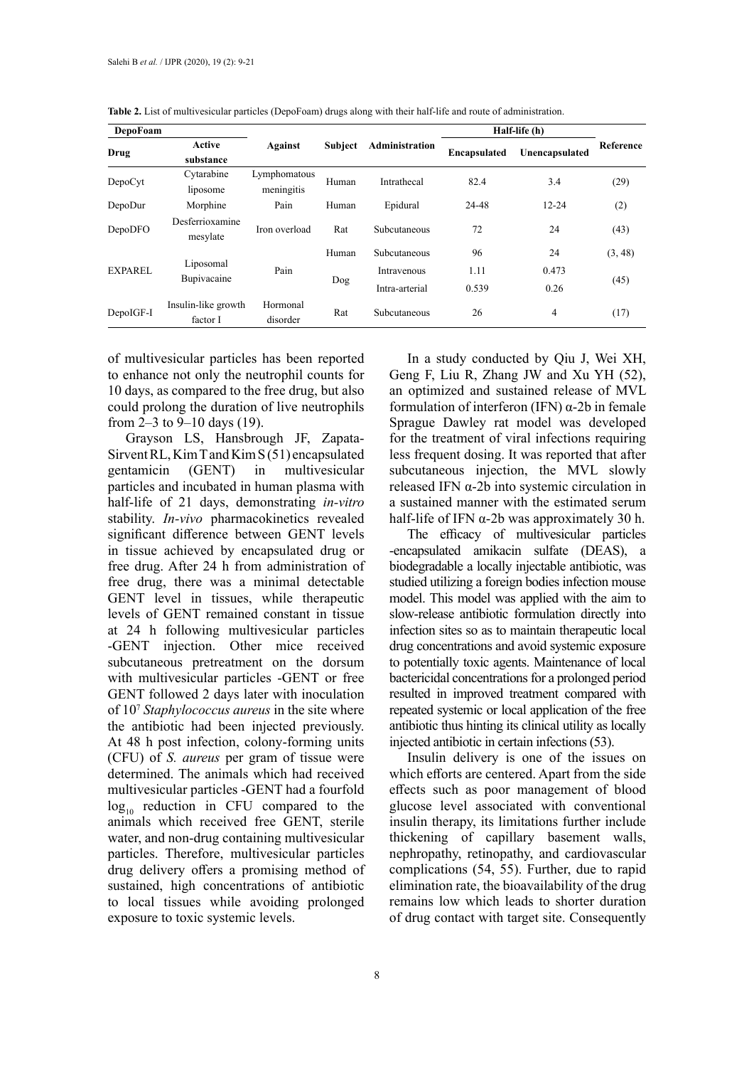| DepoFoam       |                                 |                            |                |                | Half-life (h) |                |           |
|----------------|---------------------------------|----------------------------|----------------|----------------|---------------|----------------|-----------|
| Drug           | Active<br>substance             | Against                    | <b>Subject</b> | Administration | Encapsulated  | Unencapsulated | Reference |
| DepoCyt        | Cytarabine<br>liposome          | Lymphomatous<br>meningitis | Human          | Intrathecal    | 82.4          | 3.4            | (29)      |
| DepoDur        | Morphine                        | Pain                       | Human          | Epidural       | 24-48         | $12 - 24$      | (2)       |
| DepoDFO        | Desferrioxamine<br>mesylate     | Iron overload              | Rat            | Subcutaneous   | 72            | 24             | (43)      |
| <b>EXPAREL</b> | Liposomal<br>Bupivacaine        | Pain                       | Human          | Subcutaneous   | 96            | 24             | (3, 48)   |
|                |                                 |                            | Dog            | Intravenous    | 1.11          | 0.473          | (45)      |
|                |                                 |                            |                | Intra-arterial | 0.539         | 0.26           |           |
| DepoIGF-I      | Insulin-like growth<br>factor I | Hormonal<br>disorder       | Rat            | Subcutaneous   | 26            | 4              | (17)      |

**Table 2.** List of multivesicular particles (DepoFoam) drugs along with their half-life and route of administration.

of multivesicular particles has been reported to enhance not only the neutrophil counts for 10 days, as compared to the free drug, but also could prolong the duration of live neutrophils from 2–3 to 9–10 days (19).

Grayson LS, Hansbrough JF, Zapata-Sirvent RL, Kim T and Kim S (51) encapsulated gentamicin (GENT) in multivesicular particles and incubated in human plasma with half-life of 21 days, demonstrating *in-vitro* stability. *In-vivo* pharmacokinetics revealed significant difference between GENT levels in tissue achieved by encapsulated drug or free drug. After 24 h from administration of free drug, there was a minimal detectable GENT level in tissues, while therapeutic levels of GENT remained constant in tissue at 24 h following multivesicular particles -GENT injection. Other mice received subcutaneous pretreatment on the dorsum with multivesicular particles -GENT or free GENT followed 2 days later with inoculation of 107 *Staphylococcus aureus* in the site where the antibiotic had been injected previously. At 48 h post infection, colony-forming units (CFU) of *S. aureus* per gram of tissue were determined. The animals which had received multivesicular particles -GENT had a fourfold  $log_{10}$  reduction in CFU compared to the animals which received free GENT, sterile water, and non-drug containing multivesicular particles. Therefore, multivesicular particles drug delivery offers a promising method of sustained, high concentrations of antibiotic to local tissues while avoiding prolonged exposure to toxic systemic levels.

In a study conducted by Qiu J, Wei XH, Geng F, Liu R, Zhang JW and Xu YH (52), an optimized and sustained release of MVL formulation of interferon (IFN) α-2b in female Sprague Dawley rat model was developed for the treatment of viral infections requiring less frequent dosing. It was reported that after subcutaneous injection, the MVL slowly released IFN α-2b into systemic circulation in a sustained manner with the estimated serum half-life of IFN  $\alpha$ -2b was approximately 30 h.

The efficacy of multivesicular particles -encapsulated amikacin sulfate (DEAS), a biodegradable a locally injectable antibiotic, was studied utilizing a foreign bodies infection mouse model. This model was applied with the aim to slow-release antibiotic formulation directly into infection sites so as to maintain therapeutic local drug concentrations and avoid systemic exposure to potentially toxic agents. Maintenance of local bactericidal concentrations for a prolonged period resulted in improved treatment compared with repeated systemic or local application of the free antibiotic thus hinting its clinical utility as locally injected antibiotic in certain infections (53).

Insulin delivery is one of the issues on which efforts are centered. Apart from the side effects such as poor management of blood glucose level associated with conventional insulin therapy, its limitations further include thickening of capillary basement walls, nephropathy, retinopathy, and cardiovascular complications (54, 55). Further, due to rapid elimination rate, the bioavailability of the drug remains low which leads to shorter duration of drug contact with target site. Consequently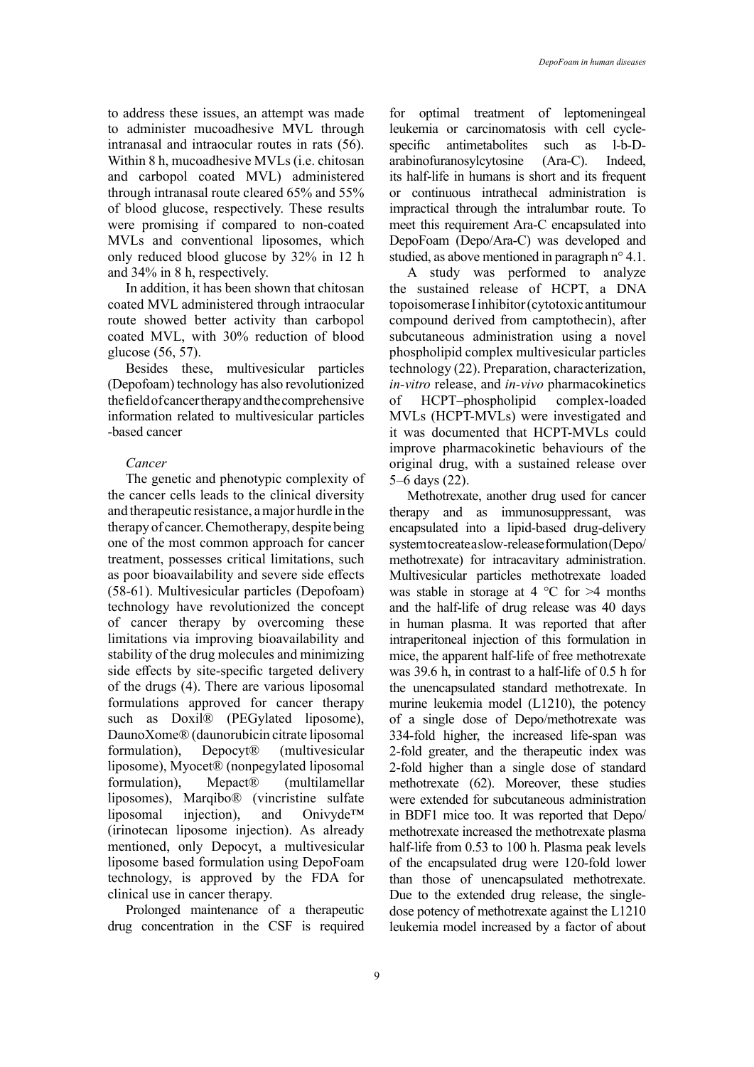to address these issues, an attempt was made to administer mucoadhesive MVL through intranasal and intraocular routes in rats (56). Within 8 h, mucoadhesive MVLs (i.e. chitosan and carbopol coated MVL) administered through intranasal route cleared 65% and 55% of blood glucose, respectively. These results were promising if compared to non-coated MVLs and conventional liposomes, which only reduced blood glucose by 32% in 12 h and 34% in 8 h, respectively.

In addition, it has been shown that chitosan coated MVL administered through intraocular route showed better activity than carbopol coated MVL, with 30% reduction of blood glucose (56, 57).

Besides these, multivesicular particles (Depofoam) technology has also revolutionized the field of cancer therapy and the comprehensive information related to multivesicular particles -based cancer

### *Cancer*

The genetic and phenotypic complexity of the cancer cells leads to the clinical diversity and therapeutic resistance, a major hurdle in the therapy of cancer. Chemotherapy, despite being one of the most common approach for cancer treatment, possesses critical limitations, such as poor bioavailability and severe side effects (58-61). Multivesicular particles (Depofoam) technology have revolutionized the concept of cancer therapy by overcoming these limitations via improving bioavailability and stability of the drug molecules and minimizing side effects by site-specific targeted delivery of the drugs (4). There are various liposomal formulations approved for cancer therapy such as Doxil® (PEGylated liposome), DaunoXome® (daunorubicin citrate liposomal formulation), Depocyt® (multivesicular liposome), Myocet® (nonpegylated liposomal formulation), Mepact® (multilamellar liposomes), Marqibo® (vincristine sulfate liposomal injection), and Onivyde™ (irinotecan liposome injection). As already mentioned, only Depocyt, a multivesicular liposome based formulation using DepoFoam technology, is approved by the FDA for clinical use in cancer therapy.

Prolonged maintenance of a therapeutic drug concentration in the CSF is required for optimal treatment of leptomeningeal leukemia or carcinomatosis with cell cyclespecific antimetabolites such as l-b-Darabinofuranosylcytosine (Ara-C). Indeed, its half-life in humans is short and its frequent or continuous intrathecal administration is impractical through the intralumbar route. To meet this requirement Ara-C encapsulated into DepoFoam (Depo/Ara-C) was developed and studied, as above mentioned in paragraph n° 4.1.

A study was performed to analyze the sustained release of HCPT, a DNA topoisomerase I inhibitor (cytotoxic antitumour compound derived from camptothecin), after subcutaneous administration using a novel phospholipid complex multivesicular particles technology (22). Preparation, characterization, *in-vitro* release, and *in-vivo* pharmacokinetics of HCPT–phospholipid complex-loaded MVLs (HCPT-MVLs) were investigated and it was documented that HCPT-MVLs could improve pharmacokinetic behaviours of the original drug, with a sustained release over 5–6 days (22).

Methotrexate, another drug used for cancer therapy and as immunosuppressant, was encapsulated into a lipid-based drug-delivery system to create a slow-release formulation (Depo/ methotrexate) for intracavitary administration. Multivesicular particles methotrexate loaded was stable in storage at 4  $\degree$ C for >4 months and the half-life of drug release was 40 days in human plasma. It was reported that after intraperitoneal injection of this formulation in mice, the apparent half-life of free methotrexate was 39.6 h, in contrast to a half-life of 0.5 h for the unencapsulated standard methotrexate. In murine leukemia model (L1210), the potency of a single dose of Depo/methotrexate was 334-fold higher, the increased life-span was 2-fold greater, and the therapeutic index was 2-fold higher than a single dose of standard methotrexate (62). Moreover, these studies were extended for subcutaneous administration in BDF1 mice too. It was reported that Depo/ methotrexate increased the methotrexate plasma half-life from 0.53 to 100 h. Plasma peak levels of the encapsulated drug were 120-fold lower than those of unencapsulated methotrexate. Due to the extended drug release, the singledose potency of methotrexate against the L1210 leukemia model increased by a factor of about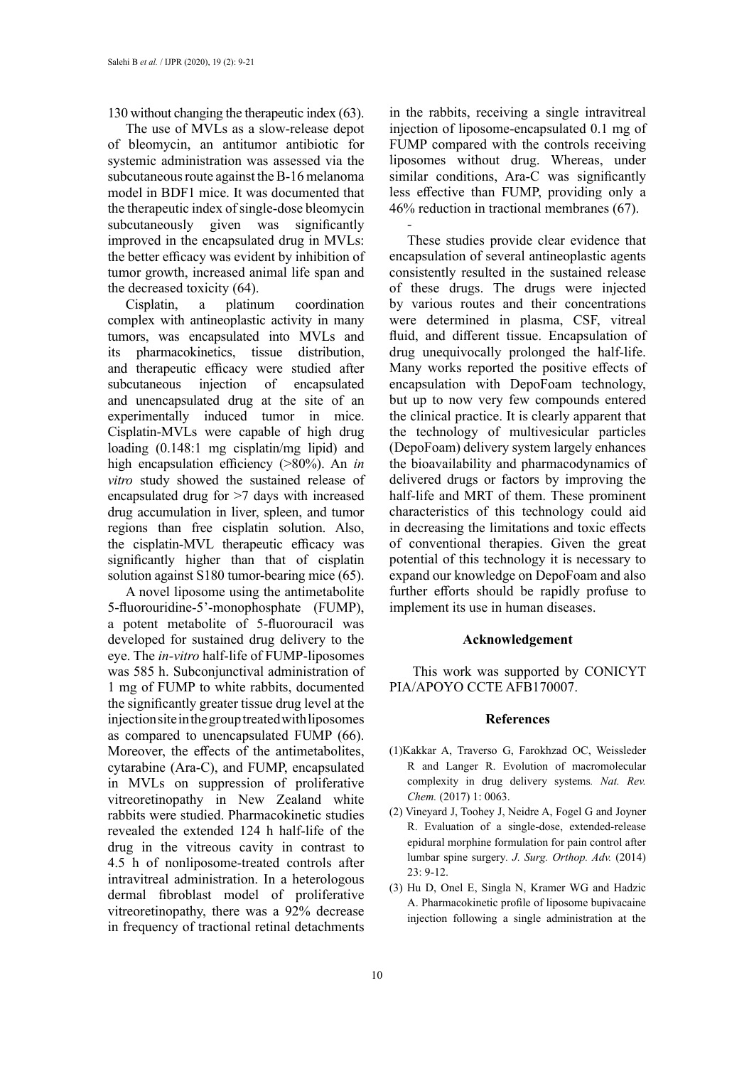130 without changing the therapeutic index (63).

The use of MVLs as a slow-release depot of bleomycin, an antitumor antibiotic for systemic administration was assessed via the subcutaneous route against the B-16 melanoma model in BDF1 mice. It was documented that the therapeutic index of single-dose bleomycin subcutaneously given was significantly improved in the encapsulated drug in MVLs: the better efficacy was evident by inhibition of tumor growth, increased animal life span and the decreased toxicity (64).

Cisplatin, a platinum coordination complex with antineoplastic activity in many tumors, was encapsulated into MVLs and its pharmacokinetics, tissue distribution, and therapeutic efficacy were studied after subcutaneous injection of encapsulated and unencapsulated drug at the site of an experimentally induced tumor in mice. Cisplatin-MVLs were capable of high drug loading (0.148:1 mg cisplatin/mg lipid) and high encapsulation efficiency (>80%). An *in vitro* study showed the sustained release of encapsulated drug for >7 days with increased drug accumulation in liver, spleen, and tumor regions than free cisplatin solution. Also, the cisplatin-MVL therapeutic efficacy was significantly higher than that of cisplatin solution against S180 tumor-bearing mice (65).

A novel liposome using the antimetabolite 5-fluorouridine-5'-monophosphate (FUMP), a potent metabolite of 5-fluorouracil was developed for sustained drug delivery to the eye. The *in-vitro* half-life of FUMP-liposomes was 585 h. Subconjunctival administration of 1 mg of FUMP to white rabbits, documented the significantly greater tissue drug level at the injection site in the group treated with liposomes as compared to unencapsulated FUMP (66). Moreover, the effects of the antimetabolites, cytarabine (Ara-C), and FUMP, encapsulated in MVLs on suppression of proliferative vitreoretinopathy in New Zealand white rabbits were studied. Pharmacokinetic studies revealed the extended 124 h half-life of the drug in the vitreous cavity in contrast to 4.5 h of nonliposome-treated controls after intravitreal administration. In a heterologous dermal fibroblast model of proliferative vitreoretinopathy, there was a 92% decrease in frequency of tractional retinal detachments

in the rabbits, receiving a single intravitreal injection of liposome-encapsulated 0.1 mg of FUMP compared with the controls receiving liposomes without drug. Whereas, under similar conditions, Ara-C was significantly less effective than FUMP, providing only a 46% reduction in tractional membranes (67).

*-*

These studies provide clear evidence that encapsulation of several antineoplastic agents consistently resulted in the sustained release of these drugs. The drugs were injected by various routes and their concentrations were determined in plasma, CSF, vitreal fluid, and different tissue. Encapsulation of drug unequivocally prolonged the half-life. Many works reported the positive effects of encapsulation with DepoFoam technology, but up to now very few compounds entered the clinical practice. It is clearly apparent that the technology of multivesicular particles (DepoFoam) delivery system largely enhances the bioavailability and pharmacodynamics of delivered drugs or factors by improving the half-life and MRT of them. These prominent characteristics of this technology could aid in decreasing the limitations and toxic effects of conventional therapies. Given the great potential of this technology it is necessary to expand our knowledge on DepoFoam and also further efforts should be rapidly profuse to implement its use in human diseases.

#### **Acknowledgement**

 This work was supported by CONICYT PIA/APOYO CCTE AFB170007.

#### **References**

- (1)Kakkar A, Traverso G, Farokhzad OC, Weissleder R and Langer R. Evolution of macromolecular complexity in drug delivery systems*. Nat. Rev. Chem.* (2017) 1: 0063.
- (2) Vineyard J, Toohey J, Neidre A, Fogel G and Joyner R. Evaluation of a single-dose, extended-release epidural morphine formulation for pain control after lumbar spine surgery*. J. Surg. Orthop. Adv.* (2014) 23: 9-12.
- (3) Hu D, Onel E, Singla N, Kramer WG and Hadzic A. Pharmacokinetic profile of liposome bupivacaine injection following a single administration at the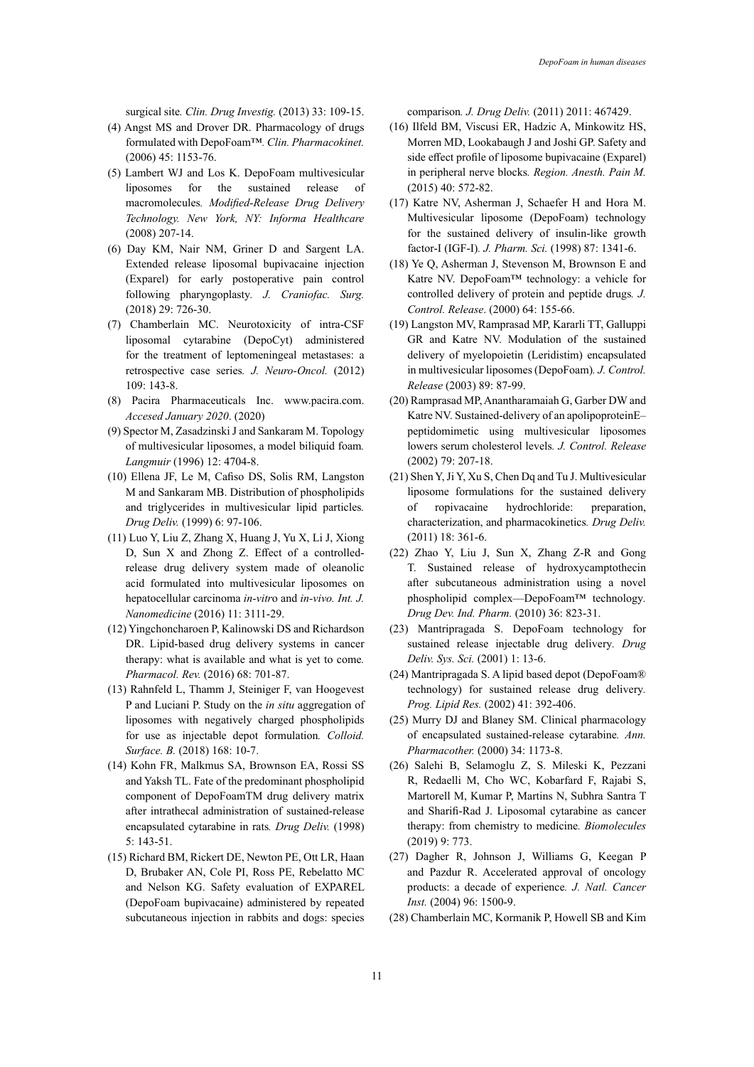surgical site*. Clin. Drug Investig.* (2013) 33: 109-15.

- (4) Angst MS and Drover DR. Pharmacology of drugs formulated with DepoFoam™*. Clin. Pharmacokinet.* (2006) 45: 1153-76.
- (5) Lambert WJ and Los K. DepoFoam multivesicular liposomes for the sustained release of macromolecules*. Modified-Release Drug Delivery Technology. New York, NY: Informa Healthcare* (2008) 207-14.
- (6) Day KM, Nair NM, Griner D and Sargent LA. Extended release liposomal bupivacaine injection (Exparel) for early postoperative pain control following pharyngoplasty*. J. Craniofac. Surg.* (2018) 29: 726-30.
- (7) Chamberlain MC. Neurotoxicity of intra-CSF liposomal cytarabine (DepoCyt) administered for the treatment of leptomeningeal metastases: a retrospective case series*. J. Neuro-Oncol.* (2012) 109: 143-8.
- (8) Pacira Pharmaceuticals Inc. www.pacira.com. *Accesed January 2020*. (2020)
- (9) Spector M, Zasadzinski J and Sankaram M. Topology of multivesicular liposomes, a model biliquid foam*. Langmuir* (1996) 12: 4704-8.
- (10) Ellena JF, Le M, Cafiso DS, Solis RM, Langston M and Sankaram MB. Distribution of phospholipids and triglycerides in multivesicular lipid particles*. Drug Deliv.* (1999) 6: 97-106.
- (11) Luo Y, Liu Z, Zhang X, Huang J, Yu X, Li J, Xiong D, Sun X and Zhong Z. Effect of a controlledrelease drug delivery system made of oleanolic acid formulated into multivesicular liposomes on hepatocellular carcinoma *in-vitr*o and *in-vivo. Int. J. Nanomedicine* (2016) 11: 3111-29.
- (12) Yingchoncharoen P, Kalinowski DS and Richardson DR. Lipid-based drug delivery systems in cancer therapy: what is available and what is yet to come*. Pharmacol. Rev.* (2016) 68: 701-87.
- (13) Rahnfeld L, Thamm J, Steiniger F, van Hoogevest P and Luciani P. Study on the *in situ* aggregation of liposomes with negatively charged phospholipids for use as injectable depot formulation*. Colloid. Surface. B.* (2018) 168: 10-7.
- (14) Kohn FR, Malkmus SA, Brownson EA, Rossi SS and Yaksh TL. Fate of the predominant phospholipid component of DepoFoamTM drug delivery matrix after intrathecal administration of sustained-release encapsulated cytarabine in rats*. Drug Deliv.* (1998) 5: 143-51.
- (15) Richard BM, Rickert DE, Newton PE, Ott LR, Haan D, Brubaker AN, Cole PI, Ross PE, Rebelatto MC and Nelson KG. Safety evaluation of EXPAREL (DepoFoam bupivacaine) administered by repeated subcutaneous injection in rabbits and dogs: species

comparison*. J. Drug Deliv.* (2011) 2011: 467429.

- (16) Ilfeld BM, Viscusi ER, Hadzic A, Minkowitz HS, Morren MD, Lookabaugh J and Joshi GP. Safety and side effect profile of liposome bupivacaine (Exparel) in peripheral nerve blocks*. Region. Anesth. Pain M.* (2015) 40: 572-82.
- (17) Katre NV, Asherman J, Schaefer H and Hora M. Multivesicular liposome (DepoFoam) technology for the sustained delivery of insulin‐like growth factor‐I (IGF‐I)*. J. Pharm. Sci.* (1998) 87: 1341-6.
- (18) Ye Q, Asherman J, Stevenson M, Brownson E and Katre NV. DepoFoam™ technology: a vehicle for controlled delivery of protein and peptide drugs*. J. Control. Release*. (2000) 64: 155-66.
- (19) Langston MV, Ramprasad MP, Kararli TT, Galluppi GR and Katre NV. Modulation of the sustained delivery of myelopoietin (Leridistim) encapsulated in multivesicular liposomes (DepoFoam)*. J. Control. Release* (2003) 89: 87-99.
- (20) Ramprasad MP, Anantharamaiah G, Garber DW and Katre NV. Sustained-delivery of an apolipoproteinE– peptidomimetic using multivesicular liposomes lowers serum cholesterol levels*. J. Control. Release* (2002) 79: 207-18.
- (21) Shen Y, Ji Y, Xu S, Chen Dq and Tu J. Multivesicular liposome formulations for the sustained delivery of ropivacaine hydrochloride: preparation, characterization, and pharmacokinetics*. Drug Deliv.* (2011) 18: 361-6.
- (22) Zhao Y, Liu J, Sun X, Zhang Z-R and Gong T. Sustained release of hydroxycamptothecin after subcutaneous administration using a novel phospholipid complex—DepoFoam™ technology*. Drug Dev. Ind. Pharm.* (2010) 36: 823-31.
- (23) Mantripragada S. DepoFoam technology for sustained release injectable drug delivery*. Drug Deliv. Sys. Sci.* (2001) 1: 13-6.
- (24) Mantripragada S. A lipid based depot (DepoFoam® technology) for sustained release drug delivery*. Prog. Lipid Res.* (2002) 41: 392-406.
- (25) Murry DJ and Blaney SM. Clinical pharmacology of encapsulated sustained-release cytarabine*. Ann. Pharmacother.* (2000) 34: 1173-8.
- (26) Salehi B, Selamoglu Z, S. Mileski K, Pezzani R, Redaelli M, Cho WC, Kobarfard F, Rajabi S, Martorell M, Kumar P, Martins N, Subhra Santra T and Sharifi-Rad J. Liposomal cytarabine as cancer therapy: from chemistry to medicine*. Biomolecules* (2019) 9: 773.
- (27) Dagher R, Johnson J, Williams G, Keegan P and Pazdur R. Accelerated approval of oncology products: a decade of experience*. J. Natl. Cancer Inst.* (2004) 96: 1500-9.
- (28) Chamberlain MC, Kormanik P, Howell SB and Kim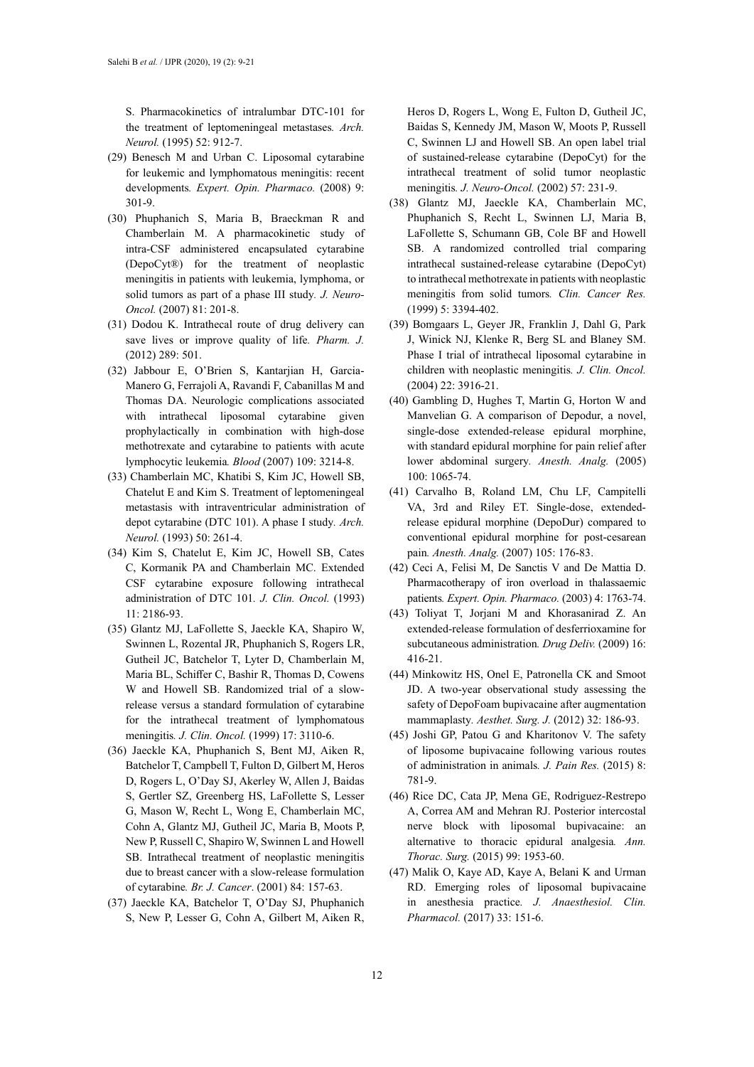S. Pharmacokinetics of intralumbar DTC-101 for the treatment of leptomeningeal metastases*. Arch. Neurol.* (1995) 52: 912-7.

- (29) Benesch M and Urban C. Liposomal cytarabine for leukemic and lymphomatous meningitis: recent developments*. Expert. Opin. Pharmaco.* (2008) 9: 301-9.
- (30) Phuphanich S, Maria B, Braeckman R and Chamberlain M. A pharmacokinetic study of intra-CSF administered encapsulated cytarabine (DepoCyt®) for the treatment of neoplastic meningitis in patients with leukemia, lymphoma, or solid tumors as part of a phase III study*. J. Neuro-Oncol.* (2007) 81: 201-8.
- (31) Dodou K. Intrathecal route of drug delivery can save lives or improve quality of life*. Pharm. J.* (2012) 289: 501.
- (32) Jabbour E, O'Brien S, Kantarjian H, Garcia-Manero G, Ferrajoli A, Ravandi F, Cabanillas M and Thomas DA. Neurologic complications associated with intrathecal liposomal cytarabine given prophylactically in combination with high-dose methotrexate and cytarabine to patients with acute lymphocytic leukemia*. Blood* (2007) 109: 3214-8.
- (33) Chamberlain MC, Khatibi S, Kim JC, Howell SB, Chatelut E and Kim S. Treatment of leptomeningeal metastasis with intraventricular administration of depot cytarabine (DTC 101). A phase I study*. Arch. Neurol.* (1993) 50: 261-4.
- (34) Kim S, Chatelut E, Kim JC, Howell SB, Cates C, Kormanik PA and Chamberlain MC. Extended CSF cytarabine exposure following intrathecal administration of DTC 101*. J. Clin. Oncol.* (1993) 11: 2186-93.
- (35) Glantz MJ, LaFollette S, Jaeckle KA, Shapiro W, Swinnen L, Rozental JR, Phuphanich S, Rogers LR, Gutheil JC, Batchelor T, Lyter D, Chamberlain M, Maria BL, Schiffer C, Bashir R, Thomas D, Cowens W and Howell SB. Randomized trial of a slowrelease versus a standard formulation of cytarabine for the intrathecal treatment of lymphomatous meningitis*. J. Clin. Oncol.* (1999) 17: 3110-6.
- (36) Jaeckle KA, Phuphanich S, Bent MJ, Aiken R, Batchelor T, Campbell T, Fulton D, Gilbert M, Heros D, Rogers L, O'Day SJ, Akerley W, Allen J, Baidas S, Gertler SZ, Greenberg HS, LaFollette S, Lesser G, Mason W, Recht L, Wong E, Chamberlain MC, Cohn A, Glantz MJ, Gutheil JC, Maria B, Moots P, New P, Russell C, Shapiro W, Swinnen L and Howell SB. Intrathecal treatment of neoplastic meningitis due to breast cancer with a slow-release formulation of cytarabine*. Br. J. Cancer*. (2001) 84: 157-63.
- (37) Jaeckle KA, Batchelor T, O'Day SJ, Phuphanich S, New P, Lesser G, Cohn A, Gilbert M, Aiken R,

Heros D, Rogers L, Wong E, Fulton D, Gutheil JC, Baidas S, Kennedy JM, Mason W, Moots P, Russell C, Swinnen LJ and Howell SB. An open label trial of sustained-release cytarabine (DepoCyt) for the intrathecal treatment of solid tumor neoplastic meningitis*. J. Neuro-Oncol.* (2002) 57: 231-9.

- (38) Glantz MJ, Jaeckle KA, Chamberlain MC, Phuphanich S, Recht L, Swinnen LJ, Maria B, LaFollette S, Schumann GB, Cole BF and Howell SB. A randomized controlled trial comparing intrathecal sustained-release cytarabine (DepoCyt) to intrathecal methotrexate in patients with neoplastic meningitis from solid tumors*. Clin. Cancer Res.* (1999) 5: 3394-402.
- (39) Bomgaars L, Geyer JR, Franklin J, Dahl G, Park J, Winick NJ, Klenke R, Berg SL and Blaney SM. Phase I trial of intrathecal liposomal cytarabine in children with neoplastic meningitis*. J. Clin. Oncol.* (2004) 22: 3916-21.
- (40) Gambling D, Hughes T, Martin G, Horton W and Manvelian G. A comparison of Depodur, a novel, single-dose extended-release epidural morphine, with standard epidural morphine for pain relief after lower abdominal surgery*. Anesth. Analg.* (2005) 100: 1065-74.
- (41) Carvalho B, Roland LM, Chu LF, Campitelli VA, 3rd and Riley ET. Single-dose, extendedrelease epidural morphine (DepoDur) compared to conventional epidural morphine for post-cesarean pain*. Anesth. Analg.* (2007) 105: 176-83.
- (42) Ceci A, Felisi M, De Sanctis V and De Mattia D. Pharmacotherapy of iron overload in thalassaemic patients*. Expert. Opin. Pharmaco.* (2003) 4: 1763-74.
- (43) Toliyat T, Jorjani M and Khorasanirad Z. An extended-release formulation of desferrioxamine for subcutaneous administration*. Drug Deliv.* (2009) 16: 416-21.
- (44) Minkowitz HS, Onel E, Patronella CK and Smoot JD. A two-year observational study assessing the safety of DepoFoam bupivacaine after augmentation mammaplasty*. Aesthet. Surg. J.* (2012) 32: 186-93.
- (45) Joshi GP, Patou G and Kharitonov V. The safety of liposome bupivacaine following various routes of administration in animals*. J. Pain Res.* (2015) 8: 781-9.
- (46) Rice DC, Cata JP, Mena GE, Rodriguez-Restrepo A, Correa AM and Mehran RJ. Posterior intercostal nerve block with liposomal bupivacaine: an alternative to thoracic epidural analgesia*. Ann. Thorac. Surg.* (2015) 99: 1953-60.
- (47) Malik O, Kaye AD, Kaye A, Belani K and Urman RD. Emerging roles of liposomal bupivacaine in anesthesia practice*. J. Anaesthesiol. Clin. Pharmacol.* (2017) 33: 151-6.